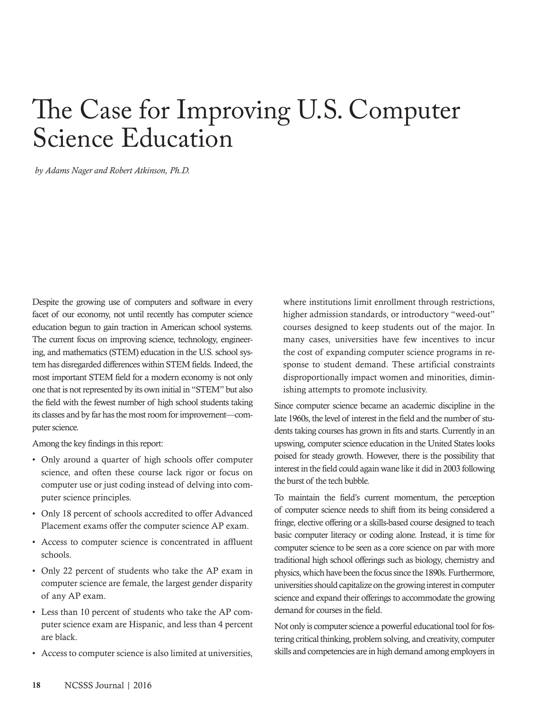## The Case for Improving U.S. Computer **Science Education**

by Adams Nager and Robert Atkinson, Ph.D.

Despite the growing use of computers and software in every facet of our economy, not until recently has computer science education begun to gain traction in American school systems. The current focus on improving science, technology, engineering, and mathematics (STEM) education in the U.S. school system has disregarded differences within STEM fields. Indeed, the most important STEM field for a modern economy is not only one that is not represented by its own initial in "STEM" but also the field with the fewest number of high school students taking its classes and by far has the most room for improvement-computer science.

Among the key findings in this report:

- Only around a quarter of high schools offer computer science, and often these course lack rigor or focus on computer use or just coding instead of delving into computer science principles.
- Only 18 percent of schools accredited to offer Advanced Placement exams offer the computer science AP exam.
- Access to computer science is concentrated in affluent schools
- Only 22 percent of students who take the AP exam in computer science are female, the largest gender disparity of any AP exam.
- Less than 10 percent of students who take the AP computer science exam are Hispanic, and less than 4 percent are black.
- Access to computer science is also limited at universities,

where institutions limit enrollment through restrictions, higher admission standards, or introductory "weed-out" courses designed to keep students out of the major. In many cases, universities have few incentives to incur the cost of expanding computer science programs in response to student demand. These artificial constraints disproportionally impact women and minorities, diminishing attempts to promote inclusivity.

Since computer science became an academic discipline in the late 1960s, the level of interest in the field and the number of students taking courses has grown in fits and starts. Currently in an upswing, computer science education in the United States looks poised for steady growth. However, there is the possibility that interest in the field could again wane like it did in 2003 following the burst of the tech bubble.

To maintain the field's current momentum, the perception of computer science needs to shift from its being considered a fringe, elective offering or a skills-based course designed to teach basic computer literacy or coding alone. Instead, it is time for computer science to be seen as a core science on par with more traditional high school offerings such as biology, chemistry and physics, which have been the focus since the 1890s. Furthermore, universities should capitalize on the growing interest in computer science and expand their offerings to accommodate the growing demand for courses in the field.

Not only is computer science a powerful educational tool for fostering critical thinking, problem solving, and creativity, computer skills and competencies are in high demand among employers in